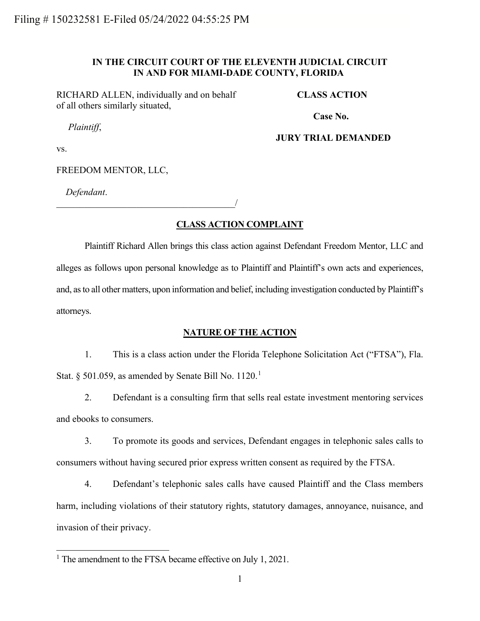# **IN THE CIRCUIT COURT OF THE ELEVENTH JUDICIAL CIRCUIT IN AND FOR MIAMI-DADE COUNTY, FLORIDA**

RICHARD ALLEN, individually and on behalf of all others similarly situated,

**CLASS ACTION**

*Plaintiff*,

**Case No.** 

# **JURY TRIAL DEMANDED**

vs.

FREEDOM MENTOR, LLC,

*Defendant*.

\_\_\_\_\_\_\_\_\_\_\_\_\_\_\_\_\_\_\_\_\_\_\_\_\_\_\_\_\_\_\_\_\_\_\_\_\_\_/

# **CLASS ACTION COMPLAINT**

Plaintiff Richard Allen brings this class action against Defendant Freedom Mentor, LLC and alleges as follows upon personal knowledge as to Plaintiff and Plaintiff's own acts and experiences, and, as to all other matters, upon information and belief, including investigation conducted by Plaintiff's attorneys.

# **NATURE OF THE ACTION**

1. This is a class action under the Florida Telephone Solicitation Act ("FTSA"), Fla. Stat. § 50[1](#page-0-0).059, as amended by Senate Bill No.  $1120.<sup>1</sup>$ 

2. Defendant is a consulting firm that sells real estate investment mentoring services and ebooks to consumers.

3. To promote its goods and services, Defendant engages in telephonic sales calls to consumers without having secured prior express written consent as required by the FTSA.

4. Defendant's telephonic sales calls have caused Plaintiff and the Class members harm, including violations of their statutory rights, statutory damages, annoyance, nuisance, and invasion of their privacy.

<span id="page-0-0"></span><sup>&</sup>lt;sup>1</sup> The amendment to the FTSA became effective on July 1, 2021.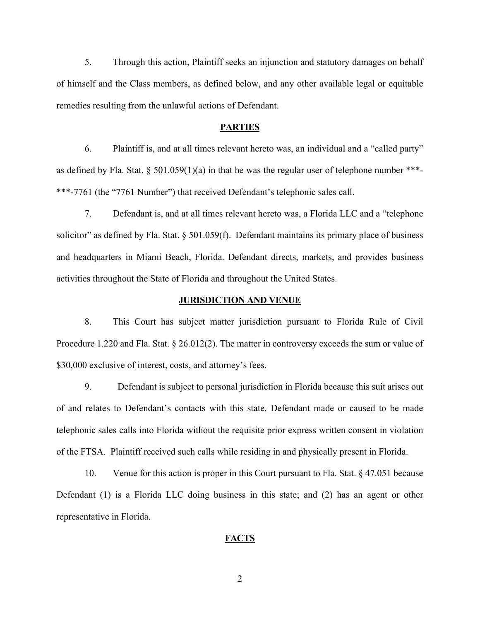5. Through this action, Plaintiff seeks an injunction and statutory damages on behalf of himself and the Class members, as defined below, and any other available legal or equitable remedies resulting from the unlawful actions of Defendant.

### **PARTIES**

6. Plaintiff is, and at all times relevant hereto was, an individual and a "called party" as defined by Fla. Stat. § 501.059(1)(a) in that he was the regular user of telephone number \*\*\*-\*\*\*-7761 (the "7761 Number") that received Defendant's telephonic sales call.

7. Defendant is, and at all times relevant hereto was, a Florida LLC and a "telephone solicitor" as defined by Fla. Stat. § 501.059(f). Defendant maintains its primary place of business and headquarters in Miami Beach, Florida. Defendant directs, markets, and provides business activities throughout the State of Florida and throughout the United States.

## **JURISDICTION AND VENUE**

8. This Court has subject matter jurisdiction pursuant to Florida Rule of Civil Procedure 1.220 and Fla. Stat. § 26.012(2). The matter in controversy exceeds the sum or value of \$30,000 exclusive of interest, costs, and attorney's fees.

9. Defendant is subject to personal jurisdiction in Florida because this suit arises out of and relates to Defendant's contacts with this state. Defendant made or caused to be made telephonic sales calls into Florida without the requisite prior express written consent in violation of the FTSA. Plaintiff received such calls while residing in and physically present in Florida.

10. Venue for this action is proper in this Court pursuant to Fla. Stat. § 47.051 because Defendant (1) is a Florida LLC doing business in this state; and (2) has an agent or other representative in Florida.

## **FACTS**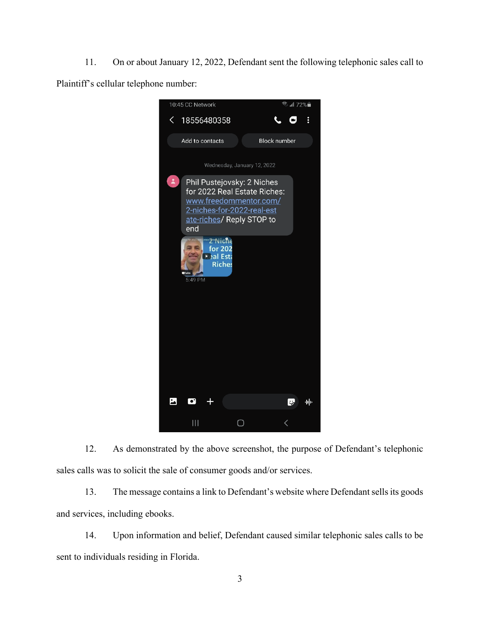11. On or about January 12, 2022, Defendant sent the following telephonic sales call to Plaintiff's cellular telephone number:



12. As demonstrated by the above screenshot, the purpose of Defendant's telephonic sales calls was to solicit the sale of consumer goods and/or services.

13. The message contains a link to Defendant's website where Defendant sells its goods and services, including ebooks.

14. Upon information and belief, Defendant caused similar telephonic sales calls to be sent to individuals residing in Florida.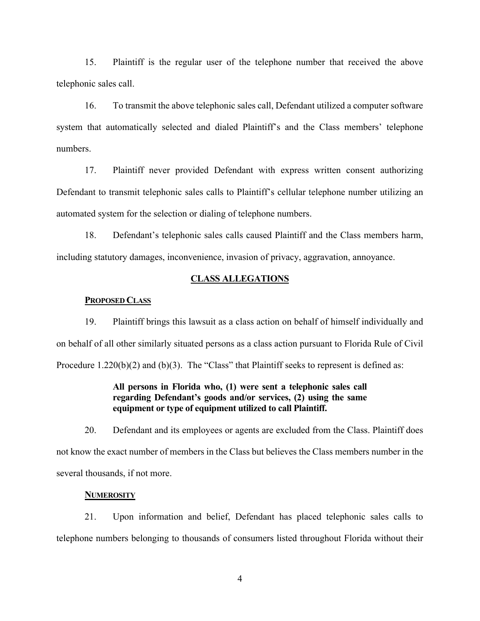15. Plaintiff is the regular user of the telephone number that received the above telephonic sales call.

16. To transmit the above telephonic sales call, Defendant utilized a computer software system that automatically selected and dialed Plaintiff's and the Class members' telephone numbers.

17. Plaintiff never provided Defendant with express written consent authorizing Defendant to transmit telephonic sales calls to Plaintiff's cellular telephone number utilizing an automated system for the selection or dialing of telephone numbers.

18. Defendant's telephonic sales calls caused Plaintiff and the Class members harm, including statutory damages, inconvenience, invasion of privacy, aggravation, annoyance.

## **CLASS ALLEGATIONS**

#### **PROPOSED CLASS**

19. Plaintiff brings this lawsuit as a class action on behalf of himself individually and on behalf of all other similarly situated persons as a class action pursuant to Florida Rule of Civil Procedure 1.220(b)(2) and (b)(3). The "Class" that Plaintiff seeks to represent is defined as:

# **All persons in Florida who, (1) were sent a telephonic sales call regarding Defendant's goods and/or services, (2) using the same equipment or type of equipment utilized to call Plaintiff.**

20. Defendant and its employees or agents are excluded from the Class. Plaintiff does not know the exact number of members in the Class but believes the Class members number in the several thousands, if not more.

## **NUMEROSITY**

21. Upon information and belief, Defendant has placed telephonic sales calls to telephone numbers belonging to thousands of consumers listed throughout Florida without their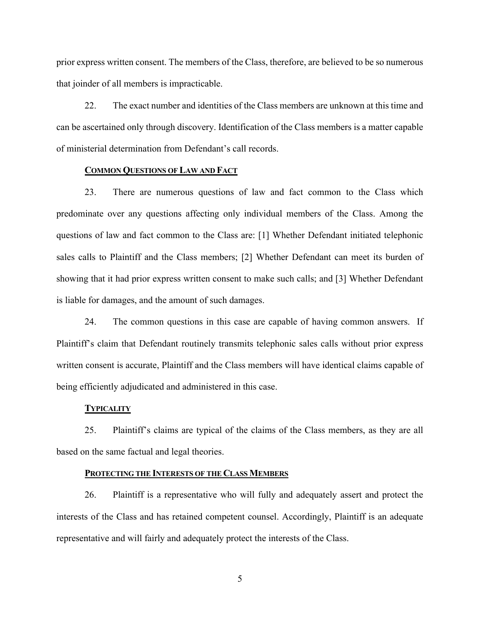prior express written consent. The members of the Class, therefore, are believed to be so numerous that joinder of all members is impracticable.

22. The exact number and identities of the Class members are unknown at this time and can be ascertained only through discovery. Identification of the Class members is a matter capable of ministerial determination from Defendant's call records.

## **COMMON QUESTIONS OF LAW AND FACT**

23. There are numerous questions of law and fact common to the Class which predominate over any questions affecting only individual members of the Class. Among the questions of law and fact common to the Class are: [1] Whether Defendant initiated telephonic sales calls to Plaintiff and the Class members; [2] Whether Defendant can meet its burden of showing that it had prior express written consent to make such calls; and [3] Whether Defendant is liable for damages, and the amount of such damages.

24. The common questions in this case are capable of having common answers. If Plaintiff's claim that Defendant routinely transmits telephonic sales calls without prior express written consent is accurate, Plaintiff and the Class members will have identical claims capable of being efficiently adjudicated and administered in this case.

## **TYPICALITY**

25. Plaintiff's claims are typical of the claims of the Class members, as they are all based on the same factual and legal theories.

#### **PROTECTING THE INTERESTS OF THE CLASS MEMBERS**

26. Plaintiff is a representative who will fully and adequately assert and protect the interests of the Class and has retained competent counsel. Accordingly, Plaintiff is an adequate representative and will fairly and adequately protect the interests of the Class.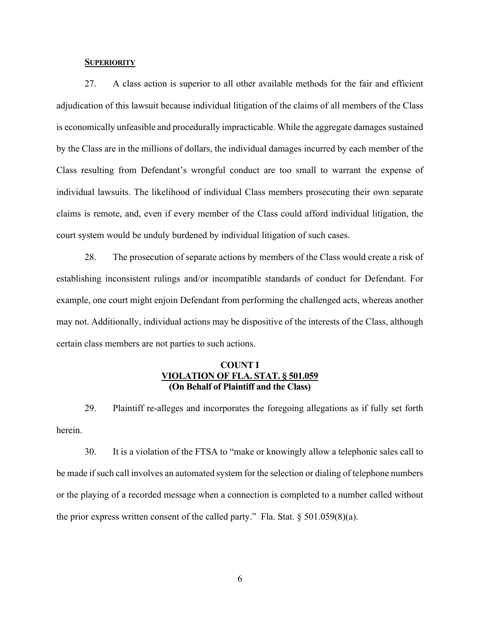## **SUPERIORITY**

27. A class action is superior to all other available methods for the fair and efficient adjudication of this lawsuit because individual litigation of the claims of all members of the Class is economically unfeasible and procedurally impracticable. While the aggregate damages sustained by the Class are in the millions of dollars, the individual damages incurred by each member of the Class resulting from Defendant's wrongful conduct are too small to warrant the expense of individual lawsuits. The likelihood of individual Class members prosecuting their own separate claims is remote, and, even if every member of the Class could afford individual litigation, the court system would be unduly burdened by individual litigation of such cases.

28. The prosecution of separate actions by members of the Class would create a risk of establishing inconsistent rulings and/or incompatible standards of conduct for Defendant. For example, one court might enjoin Defendant from performing the challenged acts, whereas another may not. Additionally, individual actions may be dispositive of the interests of the Class, although certain class members are not parties to such actions.

# **COUNT I VIOLATION OF FLA. STAT. § 501.059 (On Behalf of Plaintiff and the Class)**

29. Plaintiff re-alleges and incorporates the foregoing allegations as if fully set forth herein.

30. It is a violation of the FTSA to "make or knowingly allow a telephonic sales call to be made if such call involves an automated system for the selection or dialing of telephone numbers or the playing of a recorded message when a connection is completed to a number called without the prior express written consent of the called party." Fla. Stat.  $\S 501.059(8)(a)$ .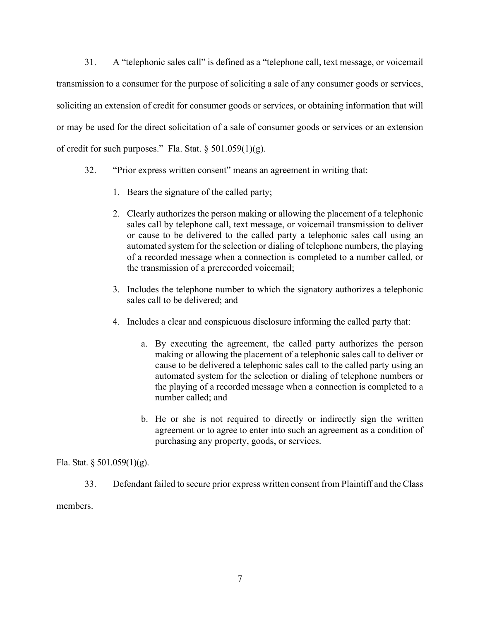31. A "telephonic sales call" is defined as a "telephone call, text message, or voicemail transmission to a consumer for the purpose of soliciting a sale of any consumer goods or services, soliciting an extension of credit for consumer goods or services, or obtaining information that will or may be used for the direct solicitation of a sale of consumer goods or services or an extension of credit for such purposes." Fla. Stat. § 501.059(1)(g).

- 32. "Prior express written consent" means an agreement in writing that:
	- 1. Bears the signature of the called party;
	- 2. Clearly authorizes the person making or allowing the placement of a telephonic sales call by telephone call, text message, or voicemail transmission to deliver or cause to be delivered to the called party a telephonic sales call using an automated system for the selection or dialing of telephone numbers, the playing of a recorded message when a connection is completed to a number called, or the transmission of a prerecorded voicemail;
	- 3. Includes the telephone number to which the signatory authorizes a telephonic sales call to be delivered; and
	- 4. Includes a clear and conspicuous disclosure informing the called party that:
		- a. By executing the agreement, the called party authorizes the person making or allowing the placement of a telephonic sales call to deliver or cause to be delivered a telephonic sales call to the called party using an automated system for the selection or dialing of telephone numbers or the playing of a recorded message when a connection is completed to a number called; and
		- b. He or she is not required to directly or indirectly sign the written agreement or to agree to enter into such an agreement as a condition of purchasing any property, goods, or services.

Fla. Stat. § 501.059(1)(g).

33. Defendant failed to secure prior express written consent from Plaintiff and the Class

members.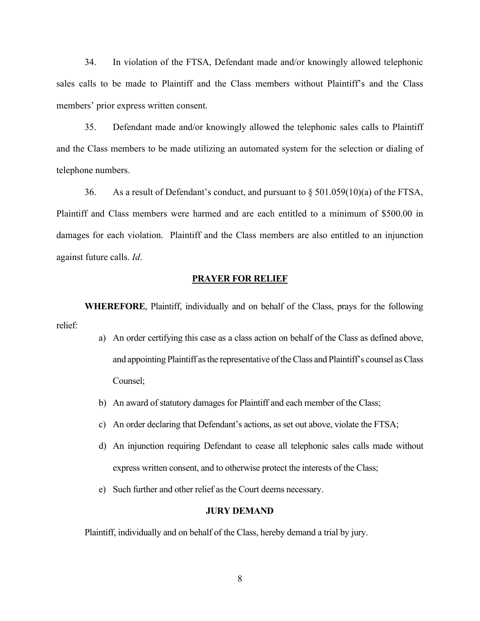34. In violation of the FTSA, Defendant made and/or knowingly allowed telephonic sales calls to be made to Plaintiff and the Class members without Plaintiff's and the Class members' prior express written consent.

35. Defendant made and/or knowingly allowed the telephonic sales calls to Plaintiff and the Class members to be made utilizing an automated system for the selection or dialing of telephone numbers.

36. As a result of Defendant's conduct, and pursuant to § 501.059(10)(a) of the FTSA, Plaintiff and Class members were harmed and are each entitled to a minimum of \$500.00 in damages for each violation. Plaintiff and the Class members are also entitled to an injunction against future calls. *Id*.

## **PRAYER FOR RELIEF**

**WHEREFORE**, Plaintiff, individually and on behalf of the Class, prays for the following relief:

- a) An order certifying this case as a class action on behalf of the Class as defined above, and appointing Plaintiff as the representative of the Class and Plaintiff's counsel as Class Counsel;
- b) An award of statutory damages for Plaintiff and each member of the Class;
- c) An order declaring that Defendant's actions, as set out above, violate the FTSA;
- d) An injunction requiring Defendant to cease all telephonic sales calls made without express written consent, and to otherwise protect the interests of the Class;
- e) Such further and other relief as the Court deems necessary.

## **JURY DEMAND**

Plaintiff, individually and on behalf of the Class, hereby demand a trial by jury.